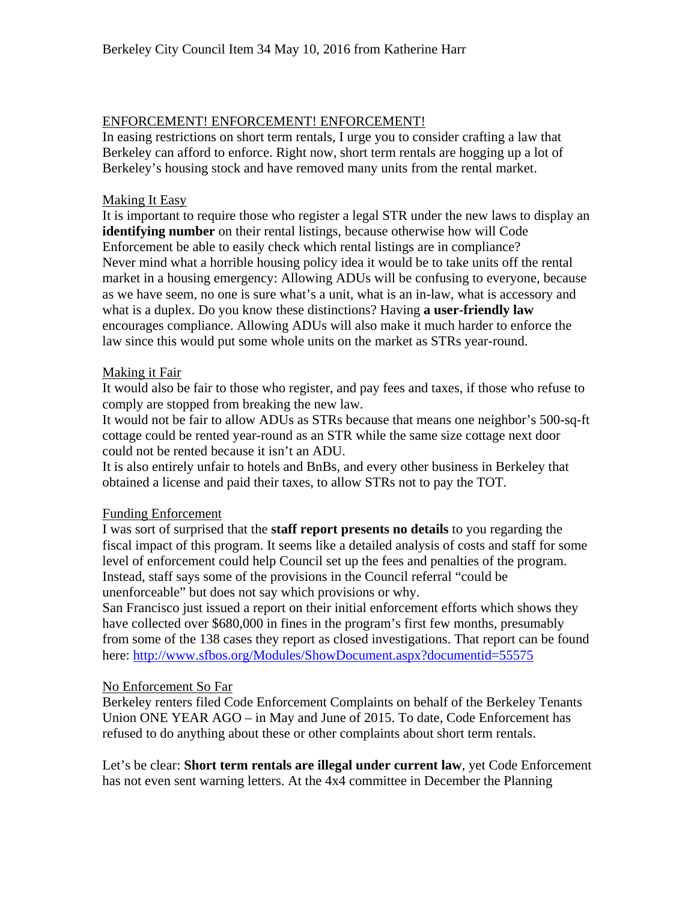# ENFORCEMENT! ENFORCEMENT! ENFORCEMENT!

In easing restrictions on short term rentals, I urge you to consider crafting a law that Berkeley can afford to enforce. Right now, short term rentals are hogging up a lot of Berkeley's housing stock and have removed many units from the rental market.

# Making It Easy

It is important to require those who register a legal STR under the new laws to display an **identifying number** on their rental listings, because otherwise how will Code Enforcement be able to easily check which rental listings are in compliance? Never mind what a horrible housing policy idea it would be to take units off the rental market in a housing emergency: Allowing ADUs will be confusing to everyone, because as we have seem, no one is sure what's a unit, what is an in-law, what is accessory and what is a duplex. Do you know these distinctions? Having **a user-friendly law**  encourages compliance. Allowing ADUs will also make it much harder to enforce the law since this would put some whole units on the market as STRs year-round.

## Making it Fair

It would also be fair to those who register, and pay fees and taxes, if those who refuse to comply are stopped from breaking the new law.

It would not be fair to allow ADUs as STRs because that means one neighbor's 500-sq-ft cottage could be rented year-round as an STR while the same size cottage next door could not be rented because it isn't an ADU.

It is also entirely unfair to hotels and BnBs, and every other business in Berkeley that obtained a license and paid their taxes, to allow STRs not to pay the TOT.

## Funding Enforcement

I was sort of surprised that the **staff report presents no details** to you regarding the fiscal impact of this program. It seems like a detailed analysis of costs and staff for some level of enforcement could help Council set up the fees and penalties of the program. Instead, staff says some of the provisions in the Council referral "could be unenforceable" but does not say which provisions or why.

San Francisco just issued a report on their initial enforcement efforts which shows they have collected over \$680,000 in fines in the program's first few months, presumably from some of the 138 cases they report as closed investigations. That report can be found here:<http://www.sfbos.org/Modules/ShowDocument.aspx?documentid=55575>

## No Enforcement So Far

Berkeley renters filed Code Enforcement Complaints on behalf of the Berkeley Tenants Union ONE YEAR AGO – in May and June of 2015. To date, Code Enforcement has refused to do anything about these or other complaints about short term rentals.

Let's be clear: **Short term rentals are illegal under current law**, yet Code Enforcement has not even sent warning letters. At the 4x4 committee in December the Planning